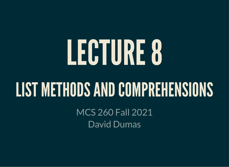# LECTURE8

### LIST METHODS AND COMPREHENSIONS

MCS 260 Fall 2021 David Dumas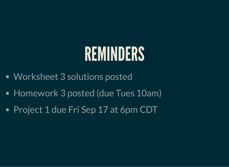### REMINDERS

- Worksheet 3 solutions posted
- Homework 3 posted (due Tues 10am)
- Project 1 due Fri Sep 17 at 6pm CDT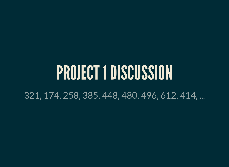### PROJECT 1DISCUSSION

321, 174, 258, 385, 448, 480, 496, 612, 414, ...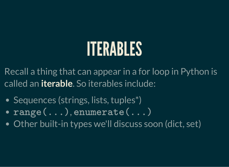### ITERABLES

Recall a thing that can appear in a for loop in Python is called an **iterable**. So iterables include:

- Sequences (strings, lists, tuples<sup>\*</sup>)
- , range(...) enumerate(...)
- Other built-in types we'll discuss soon (dict, set)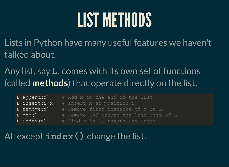# LIST METHODS

Lists in Python have many useful features we haven't talked about.

Any list, say L, comes with its own set of functions (called **methods**) that operate directly on the list.

| L.append(x)        | # Add x to the end of the list         |
|--------------------|----------------------------------------|
| L.insert(i,x)      | # Insert x at position i               |
| $L$ . remove $(x)$ | # Remove first instance of x in L      |
| L.pop()            | # Remove and return the last item of L |
| $L$ . index $(x)$  | # Find x in L, return its index        |

### All except  $\mathtt{index}()$  change the list.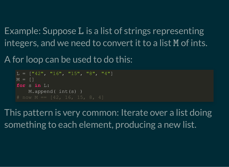Example: Suppose L is a list of strings representing integers, and we need to convert it to a list M of ints.

A for loop can be used to do this:

```
L = [\,142\,", 16\,", 15\,", 18\,", 14\,"]
M = \lceil \rceilfor s in L:
    M.append( int(s))
# now M == [42, 16, 15, 8, 4]
```
This pattern is very common: Iterate over a list doing something to each element, producing a new list.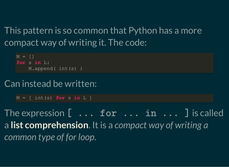This pattern is so common that Python has a more compact way of writing it. The code:

 $M = \lceil$ **for** s **in** L: M.append( int(s) )

#### Can instead be written:

 $M = \int int(s)$  for s in L ]

The expression  $[ \ldots$  for  $\ldots$  in  $\ldots$  ] is called a **list comprehension**. It is a *compact way of writing a common type of for loop.*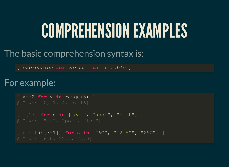### COMPREHENSIONEXAMPLES

#### The basic comprehension syntax is:

[ *expression* **for** *varname* **in** *iterable* ]

#### For example:

```
\left[\begin{array}{cc} x^* & 2 \end{array}\right] for x in range(5) ]
[ s[1:] for s in ["cat", "spot", "blot"] ]
[ float(s[:-1]) for s in ["6C", "12.5C", "25C"] ]
# Gives [6.0, 12.5, 25.0]
```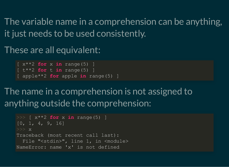The variable name in a comprehension can be anything, it just needs to be used consistently.

These are all equivalent:

```
\left[ x^{\ast \ast }2 for x in range(5) ]
[ t***2 for t in range(5) ]
[ apple**2 for apple in range(5) ]
```
The name in a comprehension is not assigned to anything outside the comprehension:

```
>>> \left[ x^{**}2 \text{ for } x \text{ in } \text{range}(5) \right][0, 1, 4, 9, 16]>>> x
Traceback (most recent call last):
  File "<stdin>", line 1, in <module>
NameError: name 'x' is not defined
```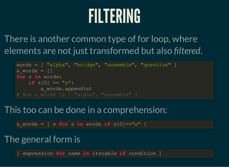# FILTERING

There is another common type of for loop, where elements are not just transformed but also *filtered*.

```
words = [ "alpha", "bridge", "assemble", "question" ]
a words = []for s in words:
   if s[0] == "a": a_words.append(s)
```
#### This too can be done in a comprehension:

a words =  $\int s \textbf{ for } s \textbf{ in words if } s[0] == "a" ]$ 

#### The general form is

[ *expression* **for** *name* **in** *iterable* **if** *condition* ]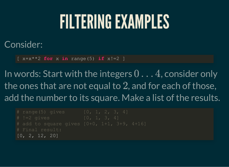### FILTERINGEXAMPLES

#### Consider:

 $[x+x^{*}2$  **for** x **in** range(5) **if**  $x!=2$  ]

In words: Start with the integers  $0 \ldots 4$ , consider only the ones that are not equal to  $2$ , and for each of those, add the number to its square. Make a list of the results.

```
# range(5) gives [0, 1, 2, 3, 4]# Final result:
[0, 2, 12, 20]
```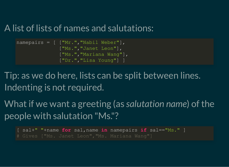#### A list of lists of names and salutations:

```
namepairs = \lceil \cdot \rceil ["Mr.", "Nabil Weber"],
                  ["Ms.","Janet Leon"],
                  ["Ms.","Mariana Wang"],
                   ["Dr.","Lisa Young"] ]
```
Tip: as we do here, lists can be split between lines. Indenting is not required.

What if we want a greeting (as *salutation name*) of the people with salutation "Ms."?

[ sal+" "+name **for** sal,name **in** namepairs **if** sal=="Ms." ]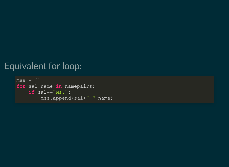#### Equivalent for loop:

```
mss = []for sal,name in namepairs:
     if sal=="Ms.":
         mss.append(sal+" "+name)
```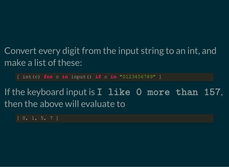### Convert every digit from the input string to an int, and make a list of these:

[ int(c) **for** c **in** input() **if** c **in** "0123456789" ]

If the keyboard input is  $I$  like 0 more than 157, then the above will evaluate to

 $\boxed{0, 1, 5, 7}$